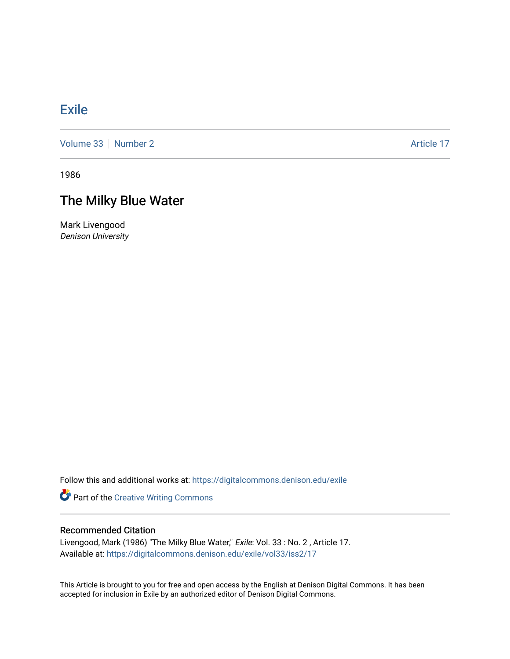## [Exile](https://digitalcommons.denison.edu/exile)

[Volume 33](https://digitalcommons.denison.edu/exile/vol33) [Number 2](https://digitalcommons.denison.edu/exile/vol33/iss2) Article 17

1986

## The Milky Blue Water

Mark Livengood Denison University

Follow this and additional works at: [https://digitalcommons.denison.edu/exile](https://digitalcommons.denison.edu/exile?utm_source=digitalcommons.denison.edu%2Fexile%2Fvol33%2Fiss2%2F17&utm_medium=PDF&utm_campaign=PDFCoverPages) 

**Part of the Creative Writing Commons** 

## Recommended Citation

Livengood, Mark (1986) "The Milky Blue Water," Exile: Vol. 33 : No. 2 , Article 17. Available at: [https://digitalcommons.denison.edu/exile/vol33/iss2/17](https://digitalcommons.denison.edu/exile/vol33/iss2/17?utm_source=digitalcommons.denison.edu%2Fexile%2Fvol33%2Fiss2%2F17&utm_medium=PDF&utm_campaign=PDFCoverPages)

This Article is brought to you for free and open access by the English at Denison Digital Commons. It has been accepted for inclusion in Exile by an authorized editor of Denison Digital Commons.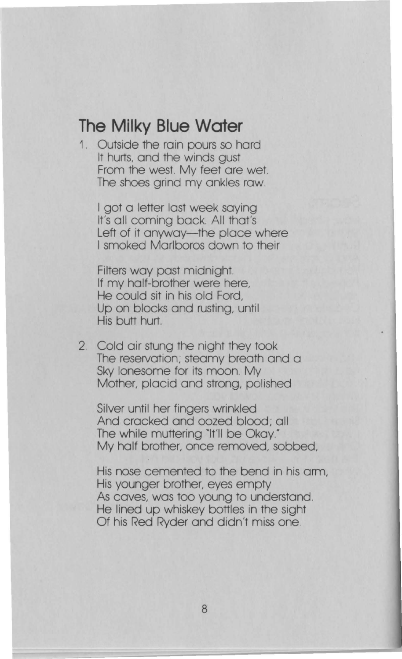## **The Milky Blue Water**

1. Outside the rain pours so hard It hurts, and the winds gust From the west. My feet are wet. The shoes grind my ankles raw.

I got a letter last week saying It's all coming back. All that's Left of it anyway—the place where I smoked Marlboros down to their

Filters way past midnight. If my half-brother were here, He could sit in his old Ford, Up on blocks and rusting, until His butt hurt.

2. Cold air stung the night they took The reservation; steamy breath and a Sky lonesome for its moon. My Mother, placid and strong, polished

Silver until her fingers wrinkled And cracked and oozed blood; all The while muttering "It'll be Okay." My half brother, once removed, sobbed,

His nose cemented to the bend in his arm, His younger brother, eyes empty As caves, was too young to understand. He lined up whiskey bottles in the sight Of his Red Ryder and didn't miss one.